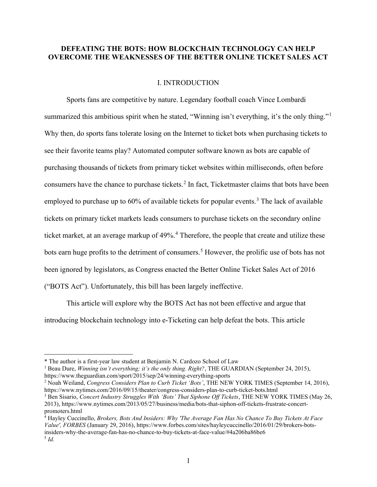## DEFEATING THE BOTS: HOW BLOCKCHAIN TECHNOLOGY CAN HELP OVERCOME THE WEAKNESSES OF THE BETTER ONLINE TICKET SALES ACT

### I. INTRODUCTION

Sports fans are competitive by nature. Legendary football coach Vince Lombardi summarized this ambitious spirit when he stated, "Winning isn't everything, it's the only thing."<sup>1</sup> Why then, do sports fans tolerate losing on the Internet to ticket bots when purchasing tickets to see their favorite teams play? Automated computer software known as bots are capable of purchasing thousands of tickets from primary ticket websites within milliseconds, often before consumers have the chance to purchase tickets.<sup>2</sup> In fact, Ticketmaster claims that bots have been employed to purchase up to  $60\%$  of available tickets for popular events.<sup>3</sup> The lack of available tickets on primary ticket markets leads consumers to purchase tickets on the secondary online ticket market, at an average markup of 49%.<sup>4</sup> Therefore, the people that create and utilize these bots earn huge profits to the detriment of consumers.<sup>5</sup> However, the prolific use of bots has not been ignored by legislators, as Congress enacted the Better Online Ticket Sales Act of 2016 ("BOTS Act"). Unfortunately, this bill has been largely ineffective.

This article will explore why the BOTS Act has not been effective and argue that introducing blockchain technology into e-Ticketing can help defeat the bots. This article

4 Hayley Cuccinello, Brokers, Bots And Insiders: Why 'The Average Fan Has No Chance To Buy Tickets At Face Value', FORBES (January 29, 2016), https://www.forbes.com/sites/hayleycuccinello/2016/01/29/brokers-botsinsiders-why-the-average-fan-has-no-chance-to-buy-tickets-at-face-value/#4a206ba86be6  $^5$  Id.

<sup>\*</sup> The author is a first-year law student at Benjamin N. Cardozo School of Law

<sup>&</sup>lt;sup>1</sup> Beau Dure, *Winning isn't everything; it's the only thing. Right?*, THE GUARDIAN (September 24, 2015), https://www.theguardian.com/sport/2015/sep/24/winning-everything-sports

<sup>&</sup>lt;sup>2</sup> Noah Weiland, Congress Considers Plan to Curb Ticket 'Bots', THE NEW YORK TIMES (September 14, 2016), https://www.nytimes.com/2016/09/15/theater/congress-considers-plan-to-curb-ticket-bots.html

<sup>&</sup>lt;sup>3</sup> Ben Sisario, Concert Industry Struggles With 'Bots' That Siphone Off Tickets, THE NEW YORK TIMES (May 26, 2013), https://www.nytimes.com/2013/05/27/business/media/bots-that-siphon-off-tickets-frustrate-concertpromoters.html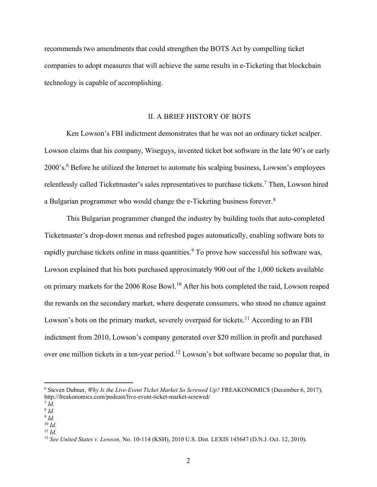recommends two amendments that could strengthen the BOTS Act by compelling ticket companies to adopt measures that will achieve the same results in e-Ticketing that blockchain technology is capable of accomplishing.

### II. A BRIEF HISTORY OF BOTS

Ken Lowson's FBI indictment demonstrates that he was not an ordinary ticket scalper. Lowson claims that his company, Wiseguys, invented ticket bot software in the late 90's or early 2000's.<sup>6</sup> Before he utilized the Internet to automate his scalping business, Lowson's employees relentlessly called Ticketmaster's sales representatives to purchase tickets.<sup>7</sup> Then, Lowson hired a Bulgarian programmer who would change the e-Ticketing business forever. $8$ 

This Bulgarian programmer changed the industry by building tools that auto-completed Ticketmaster's drop-down menus and refreshed pages automatically, enabling software bots to rapidly purchase tickets online in mass quantities.<sup>9</sup> To prove how successful his software was, Lowson explained that his bots purchased approximately 900 out of the 1,000 tickets available on primary markets for the 2006 Rose Bowl.<sup>10</sup> After his bots completed the raid, Lowson reaped the rewards on the secondary market, where desperate consumers, who stood no chance against Lowson's bots on the primary market, severely overpaid for tickets.<sup>11</sup> According to an FBI indictment from 2010, Lowson's company generated over \$20 million in profit and purchased over one million tickets in a ten-year period.<sup>12</sup> Lowson's bot software became so popular that, in

 $6$  Steven Dubner, Why Is the Live-Event Ticket Market So Screwed Up? FREAKONOMICS (December 6, 2017), http://freakonomics.com/podcast/live-event-ticket-market-screwed/

 $^7$  Id.

 $8$  Id.

 $9$  Id.  $10 \; Id.$ 

 $11 \, Id.$ 

<sup>&</sup>lt;sup>12</sup> See United States v. Lowson, No. 10-114 (KSH), 2010 U.S. Dist. LEXIS 145647 (D.N.J. Oct. 12, 2010).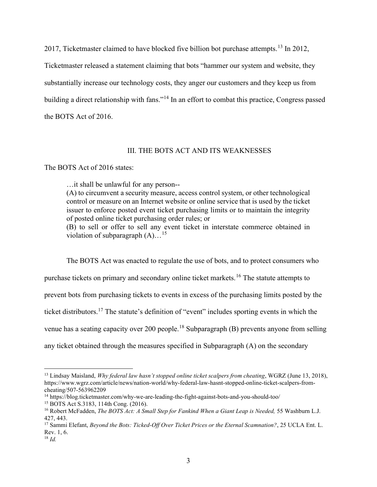2017, Ticketmaster claimed to have blocked five billion bot purchase attempts.<sup>13</sup> In 2012,

Ticketmaster released a statement claiming that bots "hammer our system and website, they substantially increase our technology costs, they anger our customers and they keep us from

building a direct relationship with fans."<sup>14</sup> In an effort to combat this practice, Congress passed

the BOTS Act of 2016.

## III. THE BOTS ACT AND ITS WEAKNESSES

## The BOTS Act of 2016 states:

…it shall be unlawful for any person--

(A) to circumvent a security measure, access control system, or other technological control or measure on an Internet website or online service that is used by the ticket issuer to enforce posted event ticket purchasing limits or to maintain the integrity of posted online ticket purchasing order rules; or

(B) to sell or offer to sell any event ticket in interstate commerce obtained in violation of subparagraph  $(A)$ ...<sup>15</sup>

 The BOTS Act was enacted to regulate the use of bots, and to protect consumers who purchase tickets on primary and secondary online ticket markets.<sup>16</sup> The statute attempts to prevent bots from purchasing tickets to events in excess of the purchasing limits posted by the ticket distributors.<sup>17</sup> The statute's definition of "event" includes sporting events in which the venue has a seating capacity over 200 people.<sup>18</sup> Subparagraph (B) prevents anyone from selling any ticket obtained through the measures specified in Subparagraph (A) on the secondary

<sup>&</sup>lt;sup>13</sup> Lindsay Maisland, *Why federal law hasn't stopped online ticket scalpers from cheating*, WGRZ (June 13, 2018), https://www.wgrz.com/article/news/nation-world/why-federal-law-hasnt-stopped-online-ticket-scalpers-fromcheating/507-563962209

<sup>14</sup> https://blog.ticketmaster.com/why-we-are-leading-the-fight-against-bots-and-you-should-too/

<sup>15</sup> BOTS Act S.3183, 114th Cong. (2016).

<sup>&</sup>lt;sup>16</sup> Robert McFadden, *The BOTS Act: A Small Step for Fankind When a Giant Leap is Needed*, 55 Washburn L.J. 427, 443.

<sup>&</sup>lt;sup>17</sup> Sammi Elefant, *Beyond the Bots: Ticked-Off Over Ticket Prices or the Eternal Scamnation?*, 25 UCLA Ent. L. Rev. 1, 6.

 $18$  *Id.*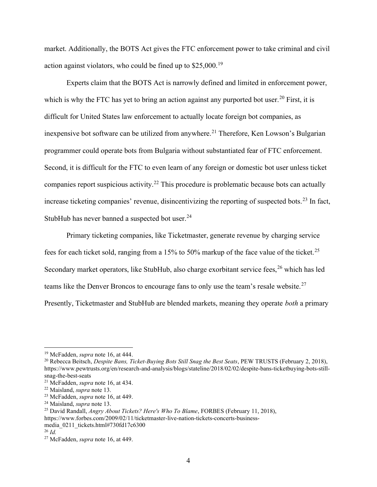market. Additionally, the BOTS Act gives the FTC enforcement power to take criminal and civil action against violators, who could be fined up to  $$25,000$ .<sup>19</sup>

Experts claim that the BOTS Act is narrowly defined and limited in enforcement power, which is why the FTC has yet to bring an action against any purported bot user.<sup>20</sup> First, it is difficult for United States law enforcement to actually locate foreign bot companies, as inexpensive bot software can be utilized from anywhere.<sup>21</sup> Therefore, Ken Lowson's Bulgarian programmer could operate bots from Bulgaria without substantiated fear of FTC enforcement. Second, it is difficult for the FTC to even learn of any foreign or domestic bot user unless ticket companies report suspicious activity.<sup>22</sup> This procedure is problematic because bots can actually increase ticketing companies' revenue, disincentivizing the reporting of suspected bots.<sup>23</sup> In fact, StubHub has never banned a suspected bot user.<sup>24</sup>

Primary ticketing companies, like Ticketmaster, generate revenue by charging service fees for each ticket sold, ranging from a 15% to 50% markup of the face value of the ticket.<sup>25</sup> Secondary market operators, like StubHub, also charge exorbitant service fees, <sup>26</sup> which has led teams like the Denver Broncos to encourage fans to only use the team's resale website.<sup>27</sup> Presently, Ticketmaster and StubHub are blended markets, meaning they operate *both* a primary

<sup>&</sup>lt;sup>19</sup> McFadden, *supra* note 16, at 444.

<sup>&</sup>lt;sup>20</sup> Rebecca Beitsch, *Despite Bans, Ticket-Buying Bots Still Snag the Best Seats*, PEW TRUSTS (February 2, 2018), https://www.pewtrusts.org/en/research-and-analysis/blogs/stateline/2018/02/02/despite-bans-ticketbuying-bots-stillsnag-the-best-seats

<sup>&</sup>lt;sup>21</sup> McFadden, *supra* note 16, at 434.

 $22$  Maisland, *supra* note 13.

 $23$  McFadden, *supra* note 16, at 449.

 $24$  Maisland, *supra* note 13.

<sup>&</sup>lt;sup>25</sup> David Randall, *Angry About Tickets? Here's Who To Blame*, FORBES (February 11, 2018), https://www.forbes.com/2009/02/11/ticketmaster-live-nation-tickets-concerts-business-

media\_0211\_tickets.html#730fd17c6300

 $^{26}$  Id.

<sup>&</sup>lt;sup>27</sup> McFadden, *supra* note 16, at 449.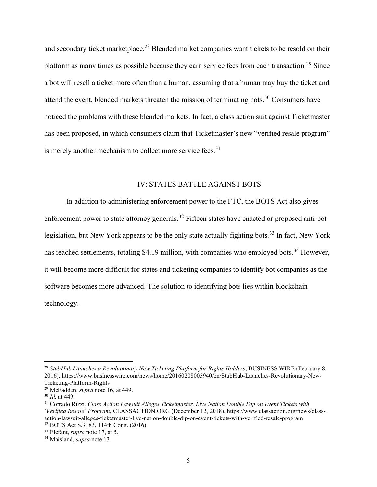and secondary ticket marketplace.<sup>28</sup> Blended market companies want tickets to be resold on their platform as many times as possible because they earn service fees from each transaction.<sup>29</sup> Since a bot will resell a ticket more often than a human, assuming that a human may buy the ticket and attend the event, blended markets threaten the mission of terminating bots.<sup>30</sup> Consumers have noticed the problems with these blended markets. In fact, a class action suit against Ticketmaster has been proposed, in which consumers claim that Ticketmaster's new "verified resale program" is merely another mechanism to collect more service fees.<sup>31</sup>

# IV: STATES BATTLE AGAINST BOTS

In addition to administering enforcement power to the FTC, the BOTS Act also gives enforcement power to state attorney generals.<sup>32</sup> Fifteen states have enacted or proposed anti-bot legislation, but New York appears to be the only state actually fighting bots.<sup>33</sup> In fact, New York has reached settlements, totaling \$4.19 million, with companies who employed bots.<sup>34</sup> However, it will become more difficult for states and ticketing companies to identify bot companies as the software becomes more advanced. The solution to identifying bots lies within blockchain technology.

 $^{28}$  StubHub Launches a Revolutionary New Ticketing Platform for Rights Holders, BUSINESS WIRE (February 8, 2016), https://www.businesswire.com/news/home/20160208005940/en/StubHub-Launches-Revolutionary-New-Ticketing-Platform-Rights

<sup>&</sup>lt;sup>29</sup> McFadden, *supra* note 16, at 449.

<sup>30</sup> Id. at 449.

<sup>&</sup>lt;sup>31</sup> Corrado Rizzi, Class Action Lawsuit Alleges Ticketmaster, Live Nation Double Dip on Event Tickets with 'Verified Resale' Program, CLASSACTION.ORG (December 12, 2018), https://www.classaction.org/news/classaction-lawsuit-alleges-ticketmaster-live-nation-double-dip-on-event-tickets-with-verified-resale-program <sup>32</sup> BOTS Act S.3183, 114th Cong. (2016).

 $33$  Elefant, *supra* note 17, at 5.

<sup>&</sup>lt;sup>34</sup> Maisland, *supra* note 13.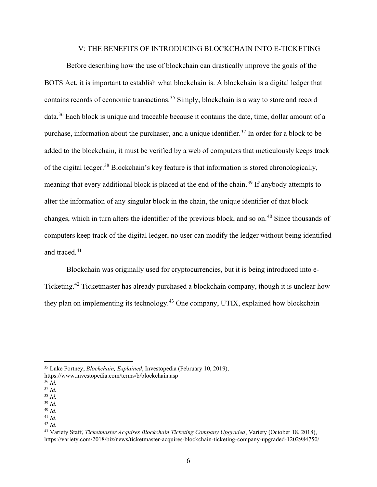#### V: THE BENEFITS OF INTRODUCING BLOCKCHAIN INTO E-TICKETING

Before describing how the use of blockchain can drastically improve the goals of the BOTS Act, it is important to establish what blockchain is. A blockchain is a digital ledger that contains records of economic transactions.<sup>35</sup> Simply, blockchain is a way to store and record data.<sup>36</sup> Each block is unique and traceable because it contains the date, time, dollar amount of a purchase, information about the purchaser, and a unique identifier.<sup>37</sup> In order for a block to be added to the blockchain, it must be verified by a web of computers that meticulously keeps track of the digital ledger.<sup>38</sup> Blockchain's key feature is that information is stored chronologically, meaning that every additional block is placed at the end of the chain.<sup>39</sup> If anybody attempts to alter the information of any singular block in the chain, the unique identifier of that block changes, which in turn alters the identifier of the previous block, and so on.<sup>40</sup> Since thousands of computers keep track of the digital ledger, no user can modify the ledger without being identified and traced. $41$ 

Blockchain was originally used for cryptocurrencies, but it is being introduced into e-Ticketing.<sup>42</sup> Ticketmaster has already purchased a blockchain company, though it is unclear how they plan on implementing its technology.<sup>43</sup> One company, UTIX, explained how blockchain

 $39$  Id.

42  $Id$ 

<sup>&</sup>lt;sup>35</sup> Luke Fortney, *Blockchain, Explained*, Investopedia (February 10, 2019),

https://www.investopedia.com/terms/b/blockchain.asp

 $36 \overline{Id}$ .

 $37$  Id.

 $38$  Id.

 $^{40}$  Id.  $41$  Id.

<sup>&</sup>lt;sup>43</sup> Variety Staff, Ticketmaster Acquires Blockchain Ticketing Company Upgraded, Variety (October 18, 2018), https://variety.com/2018/biz/news/ticketmaster-acquires-blockchain-ticketing-company-upgraded-1202984750/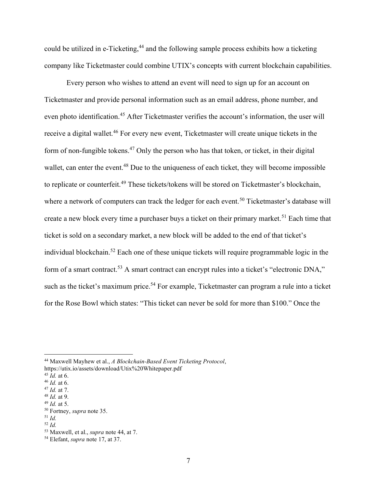could be utilized in e-Ticketing,<sup>44</sup> and the following sample process exhibits how a ticketing company like Ticketmaster could combine UTIX's concepts with current blockchain capabilities.

Every person who wishes to attend an event will need to sign up for an account on Ticketmaster and provide personal information such as an email address, phone number, and even photo identification.<sup>45</sup> After Ticketmaster verifies the account's information, the user will receive a digital wallet.<sup>46</sup> For every new event, Ticketmaster will create unique tickets in the form of non-fungible tokens.<sup>47</sup> Only the person who has that token, or ticket, in their digital wallet, can enter the event.<sup>48</sup> Due to the uniqueness of each ticket, they will become impossible to replicate or counterfeit.<sup>49</sup> These tickets/tokens will be stored on Ticketmaster's blockchain, where a network of computers can track the ledger for each event.<sup>50</sup> Ticketmaster's database will create a new block every time a purchaser buys a ticket on their primary market.<sup>51</sup> Each time that ticket is sold on a secondary market, a new block will be added to the end of that ticket's individual blockchain.<sup>52</sup> Each one of these unique tickets will require programmable logic in the form of a smart contract.<sup>53</sup> A smart contract can encrypt rules into a ticket's "electronic DNA," such as the ticket's maximum price.<sup>54</sup> For example, Ticketmaster can program a rule into a ticket for the Rose Bowl which states: "This ticket can never be sold for more than \$100." Once the

<sup>44</sup> Maxwell Mayhew et al., A Blockchain-Based Event Ticketing Protocol,

https://utix.io/assets/download/Utix%20Whitepaper.pdf

 $45$   $\dot{I}$ d. at 6.

 $46$  *Id.* at 6.

 $47$  *Id.* at 7.  $48$  *Id.* at 9.

 $49$  *Id.* at 5.

<sup>&</sup>lt;sup>50</sup> Fortney, *supra* note 35.

 $51$  Id.

<sup>52</sup>  $Id$ 

<sup>&</sup>lt;sup>53</sup> Maxwell, et al., *supra* note 44, at 7.

<sup>54</sup> Elefant, supra note 17, at 37.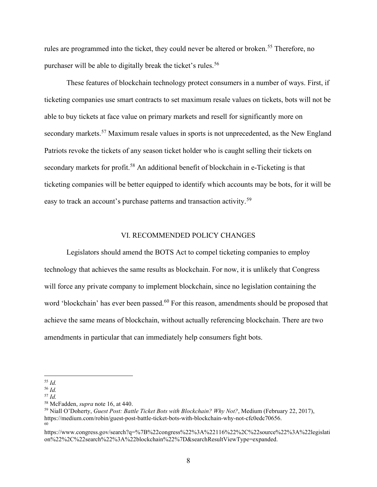rules are programmed into the ticket, they could never be altered or broken.<sup>55</sup> Therefore, no purchaser will be able to digitally break the ticket's rules.<sup>56</sup>

These features of blockchain technology protect consumers in a number of ways. First, if ticketing companies use smart contracts to set maximum resale values on tickets, bots will not be able to buy tickets at face value on primary markets and resell for significantly more on secondary markets.<sup>57</sup> Maximum resale values in sports is not unprecedented, as the New England Patriots revoke the tickets of any season ticket holder who is caught selling their tickets on secondary markets for profit.<sup>58</sup> An additional benefit of blockchain in e-Ticketing is that ticketing companies will be better equipped to identify which accounts may be bots, for it will be easy to track an account's purchase patterns and transaction activity.<sup>59</sup>

#### VI. RECOMMENDED POLICY CHANGES

 Legislators should amend the BOTS Act to compel ticketing companies to employ technology that achieves the same results as blockchain. For now, it is unlikely that Congress will force any private company to implement blockchain, since no legislation containing the word 'blockchain' has ever been passed.<sup>60</sup> For this reason, amendments should be proposed that achieve the same means of blockchain, without actually referencing blockchain. There are two amendments in particular that can immediately help consumers fight bots.

 $55$  Id.

<sup>56</sup> Id.

 $57$  Id.

<sup>58</sup> McFadden, supra note 16, at 440.

<sup>&</sup>lt;sup>59</sup> Niall O'Doherty, Guest Post: Battle Ticket Bots with Blockchain? Why Not?, Medium (February 22, 2017), https://medium.com/robin/guest-post-battle-ticket-bots-with-blockchain-why-not-cfc0edc70656. 60

https://www.congress.gov/search?q=%7B%22congress%22%3A%22116%22%2C%22source%22%3A%22legislati on%22%2C%22search%22%3A%22blockchain%22%7D&searchResultViewType=expanded.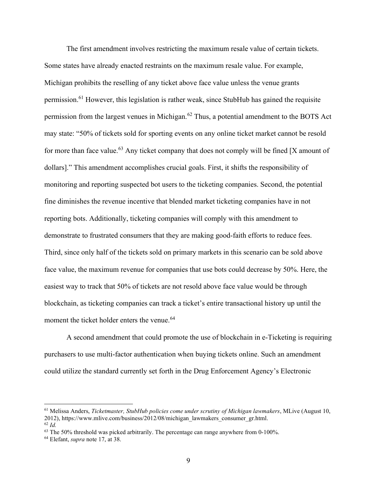The first amendment involves restricting the maximum resale value of certain tickets. Some states have already enacted restraints on the maximum resale value. For example, Michigan prohibits the reselling of any ticket above face value unless the venue grants permission.<sup>61</sup> However, this legislation is rather weak, since StubHub has gained the requisite permission from the largest venues in Michigan.<sup>62</sup> Thus, a potential amendment to the BOTS Act may state: "50% of tickets sold for sporting events on any online ticket market cannot be resold for more than face value.<sup>63</sup> Any ticket company that does not comply will be fined [X amount of dollars]." This amendment accomplishes crucial goals. First, it shifts the responsibility of monitoring and reporting suspected bot users to the ticketing companies. Second, the potential fine diminishes the revenue incentive that blended market ticketing companies have in not reporting bots. Additionally, ticketing companies will comply with this amendment to demonstrate to frustrated consumers that they are making good-faith efforts to reduce fees. Third, since only half of the tickets sold on primary markets in this scenario can be sold above face value, the maximum revenue for companies that use bots could decrease by 50%. Here, the easiest way to track that 50% of tickets are not resold above face value would be through blockchain, as ticketing companies can track a ticket's entire transactional history up until the moment the ticket holder enters the venue.<sup>64</sup>

A second amendment that could promote the use of blockchain in e-Ticketing is requiring purchasers to use multi-factor authentication when buying tickets online. Such an amendment could utilize the standard currently set forth in the Drug Enforcement Agency's Electronic

 $61$  Melissa Anders, Ticketmaster, StubHub policies come under scrutiny of Michigan lawmakers, MLive (August 10, 2012), https://www.mlive.com/business/2012/08/michigan\_lawmakers\_consumer\_gr.html.  $62$  Id.

 $63$  The 50% threshold was picked arbitrarily. The percentage can range anywhere from 0-100%.

<sup>64</sup> Elefant, supra note 17, at 38.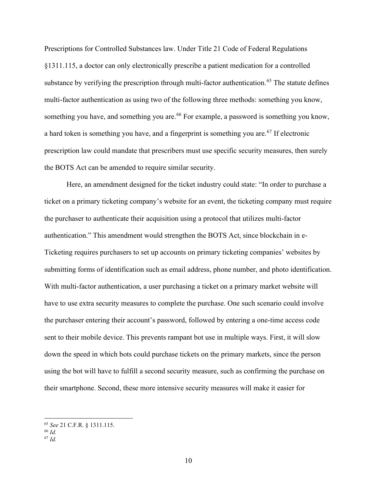Prescriptions for Controlled Substances law. Under Title 21 Code of Federal Regulations §1311.115, a doctor can only electronically prescribe a patient medication for a controlled substance by verifying the prescription through multi-factor authentication.<sup>65</sup> The statute defines multi-factor authentication as using two of the following three methods: something you know, something you have, and something you are.<sup>66</sup> For example, a password is something you know, a hard token is something you have, and a fingerprint is something you are.<sup>67</sup> If electronic prescription law could mandate that prescribers must use specific security measures, then surely the BOTS Act can be amended to require similar security.

Here, an amendment designed for the ticket industry could state: "In order to purchase a ticket on a primary ticketing company's website for an event, the ticketing company must require the purchaser to authenticate their acquisition using a protocol that utilizes multi-factor authentication." This amendment would strengthen the BOTS Act, since blockchain in e-Ticketing requires purchasers to set up accounts on primary ticketing companies' websites by submitting forms of identification such as email address, phone number, and photo identification. With multi-factor authentication, a user purchasing a ticket on a primary market website will have to use extra security measures to complete the purchase. One such scenario could involve the purchaser entering their account's password, followed by entering a one-time access code sent to their mobile device. This prevents rampant bot use in multiple ways. First, it will slow down the speed in which bots could purchase tickets on the primary markets, since the person using the bot will have to fulfill a second security measure, such as confirming the purchase on their smartphone. Second, these more intensive security measures will make it easier for

<sup>65</sup> See 21 C.F.R. § 1311.115.

<sup>66</sup> Id.

 $67$  Id.